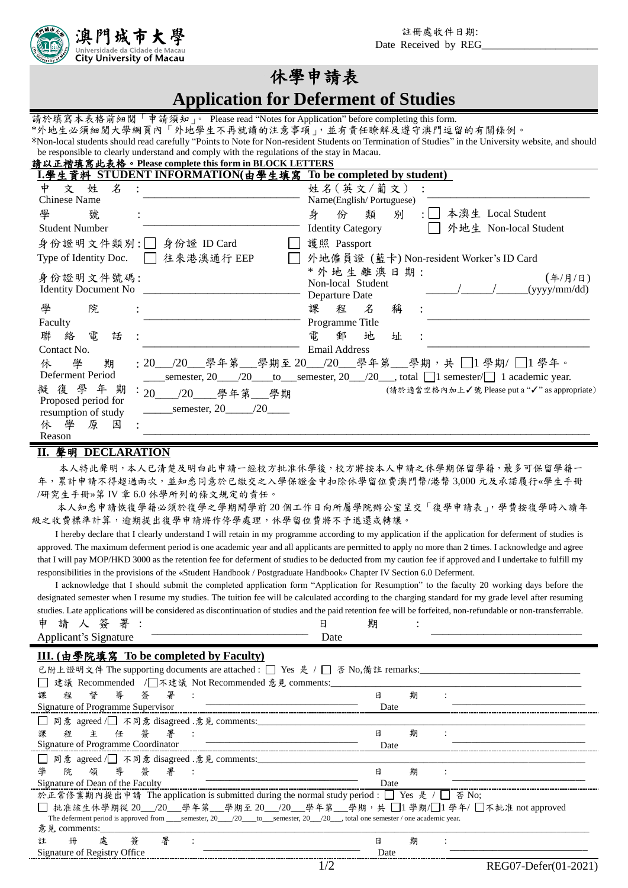註冊處收件日期: Date Received by REG



# 休學申請表

**Application for Deferment of Studies**

請於填寫本表格前細閱「申請須知」。 Please read "Notes for Application" before completing this form. \*外地生必須細閱大學網頁內「外地學生不再就讀的注意事項」,並有責任瞭解及遵守澳門逗留的有關條例。 \*Non-local students should read carefully "Points to Note for Non-resident Students on Termination of Studies" in the University website, and should be responsible to clearly understand and comply with the regulations of the stay in Macau.

請以正楷填寫此表格。**Please complete this form in BLOCK LETTERS**

| L.學生資料 STUDENT INFORMATION(由學生填寫 To be completed by student)                                                                    |                                                                                        |
|---------------------------------------------------------------------------------------------------------------------------------|----------------------------------------------------------------------------------------|
| $\mathcal{Z}$<br>姓<br>Φ<br>文                                                                                                    | 姓名 (英文/葡文)                                                                             |
| <b>Chinese Name</b>                                                                                                             | Name(English/Portuguese)                                                               |
| 學<br>號                                                                                                                          | 本澳生 Local Student<br>身<br>別<br>份<br>類                                                  |
| <b>Student Number</b>                                                                                                           | 外地生 Non-local Student<br><b>Identity Category</b>                                      |
| 身份證明文件類別: 身份證 ID Card                                                                                                           | 護照 Passport                                                                            |
| 往來港澳通行 EEP<br>Type of Identity Doc.                                                                                             | 外地僱員證 (藍卡) Non-resident Worker's ID Card                                               |
| 身份證明文件號碼:<br><b>Identity Document No</b>                                                                                        | *外地生離澳日期:<br>(4/7/H)<br>Non-local Student<br>(yyyy/mm/dd)<br>Departure Date            |
| 學<br>院                                                                                                                          | 課<br>稱<br>程<br>$\mathcal{Z}$                                                           |
| Faculty                                                                                                                         | Programme Title                                                                        |
| 電<br>絡<br>聯<br>話                                                                                                                | 電<br>郵<br>地<br>址                                                                       |
| Contact No.                                                                                                                     | <b>Email Address</b>                                                                   |
| 學<br>休<br>期                                                                                                                     | : 20_ /20__學年第__學期至 20_ /20__學年第__學期,共 □1 學期/ □1 學年。                                   |
| Deferment Period                                                                                                                | semester, $20$ $20$ to semester, $20$ $20$ and $\Box$ semester $\Box$ 1 academic year. |
| 擬復學年期<br>$\cdot$ 20<br>/20 學年第 學期<br>Proposed period for<br>semester, $20$ /20<br>resumption of study<br>休學<br>原<br>因<br>Reason | (請於適當空格內加上√號 Please put a "√" as appropriate)                                          |

#### **II.** 聲明 **DECLARATION**

本人特此聲明,本人已清楚及明白此申請一經校方批准休學後,校方將按本人申請之休學期保留學籍,最多可保留學籍一 年,累計申請不得超過兩次,並知悉同意於已繳交之入學保證金中扣除休學留位費澳門幣/港幣 3,000 元及承諾履行«學生手冊 /研究生手冊»第 IV 章 6.0 休學所列的條文規定的責任。

本人知悉申請恢復學籍必須於復學之學期開學前 20 個工作日向所屬學院辦公室呈交「復學申請表」,學費按復學時入讀年 級之收費標準計算,逾期提出復學申請將作停學處理,休學留位費將不予退還或轉讓。

I hereby declare that I clearly understand I will retain in my programme according to my application if the application for deferment of studies is approved. The maximum deferment period is one academic year and all applicants are permitted to apply no more than 2 times. I acknowledge and agree that I will pay MOP/HKD 3000 as the retention fee for deferment of studies to be deducted from my caution fee if approved and I undertake to fulfill my responsibilities in the provisions of the «Student Handbook / Postgraduate Handbook» Chapter IV Section 6.0 Deferment.

I acknowledge that I should submit the completed application form "Application for Resumption" to the faculty 20 working days before the designated semester when I resume my studies. The tuition fee will be calculated according to the charging standard for my grade level after resuming studies. Late applications will be considered as discontinuation of studies and the paid retention fee will be forfeited, non-refundable or non-transferrable. 申 請 人 簽 署 : 日 期 :

| 卫尸<br>-<br>ᅩ<br>$\sim$                                                                  |      | ₩ |  |
|-----------------------------------------------------------------------------------------|------|---|--|
| $\tilde{\phantom{a}}$<br>1gnature<br>$\sim$ 40 $\cdot$<br>. .<br>$\cdots$<br>icali<br>◡ | Date |   |  |
|                                                                                         |      |   |  |

### **III. (**由學院填寫 **To be completed by Faculty)**

| 已附上證明文件 The supporting documents are attached : □ Yes 是 / □ 否 No,備註 remarks:                                                                   |      |   |  |
|------------------------------------------------------------------------------------------------------------------------------------------------|------|---|--|
| 建議 Recommended / 不建議 Not Recommended 意見 comments:                                                                                              |      |   |  |
| 導<br>督<br>答 署<br>課<br>程                                                                                                                        | 日    | 期 |  |
| Signature of Programme Supervisor                                                                                                              | Date |   |  |
| □ 同意 agreed / 不同意 disagreed .意見 comments:                                                                                                      |      |   |  |
| 程主任答署:<br>課                                                                                                                                    | B    | 期 |  |
| Signature of Programme Coordinator                                                                                                             | Date |   |  |
| □ 同意 agreed / 不同意 disagreed .意見 comments:_                                                                                                     |      |   |  |
| 院領導簽署:<br>學                                                                                                                                    | E    | 期 |  |
| Signature of Dean of the Faculty                                                                                                               | Date |   |  |
| 於正常修業期內提出申請 The application is submitted during the normal study period : □ Yes 是 / □ 否 No;                                                    |      |   |  |
| □ 批准該生休學期從 20__/20___學年第___學期至 20__/20___學年第___學期,共 □1學期/□1學年/ □不批准 not approved                                                               |      |   |  |
| The deferment period is approved from semester, $20\frac{120}{\pi}$ to semester, $20\frac{120}{\pi}$ , total one semester / one academic year. |      |   |  |
| 意見 comments:                                                                                                                                   |      |   |  |
| 署<br>處<br>冊<br>箒<br>註                                                                                                                          | E    | 期 |  |
| Signature of Registry Office                                                                                                                   | Date |   |  |